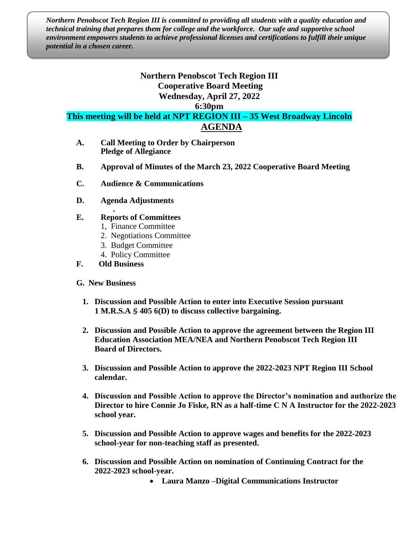*Northern Penobscot Tech Region III is committed to providing all students with a quality education and technical training that prepares them for college and the workforce. Our safe and supportive school environment empowers students to achieve professional licenses and certifications to fulfill their unique potential in a chosen career.*

## **Northern Penobscot Tech Region III Cooperative Board Meeting Wednesday, April 27, 2022**

**6:30pm**

**This meeting will be held at NPT REGION III – 35 West Broadway Lincoln AGENDA**

- **A. Call Meeting to Order by Chairperson Pledge of Allegiance**
- **B. Approval of Minutes of the March 23, 2022 Cooperative Board Meeting**
- **C. Audience & Communications**
- **D. Agenda Adjustments**

## **. E. Reports of Committees**

- 1, Finance Committee
- 2. Negotiations Committee
- 3. Budget Committee
- 4. Policy Committee

## **F. Old Business**

- **G. New Business**
	- **1. Discussion and Possible Action to enter into Executive Session pursuant 1 M.R.S.A § 405 6(D) to discuss collective bargaining.**
	- **2. Discussion and Possible Action to approve the agreement between the Region III Education Association MEA/NEA and Northern Penobscot Tech Region III Board of Directors.**
	- **3. Discussion and Possible Action to approve the 2022-2023 NPT Region III School calendar.**
	- **4. Discussion and Possible Action to approve the Director's nomination and authorize the Director to hire Connie Jo Fiske, RN as a half-time C N A Instructor for the 2022-2023 school year.**
	- **5. Discussion and Possible Action to approve wages and benefits for the 2022-2023 school-year for non-teaching staff as presented.**
	- **6. Discussion and Possible Action on nomination of Continuing Contract for the 2022-2023 school-year.**
		- **Laura Manzo –Digital Communications Instructor**